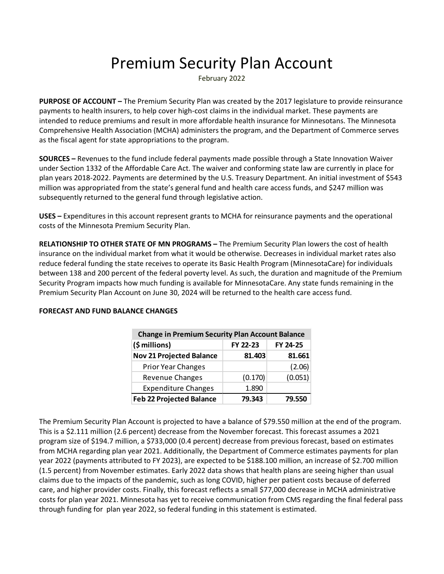## Premium Security Plan Account

February 2022

**PURPOSE OF ACCOUNT –** The Premium Security Plan was created by the 2017 legislature to provide reinsurance payments to health insurers, to help cover high-cost claims in the individual market. These payments are intended to reduce premiums and result in more affordable health insurance for Minnesotans. The Minnesota Comprehensive Health Association (MCHA) administers the program, and the Department of Commerce serves as the fiscal agent for state appropriations to the program.

**SOURCES –** Revenues to the fund include federal payments made possible through a State Innovation Waiver under Section 1332 of the Affordable Care Act. The waiver and conforming state law are currently in place for plan years 2018-2022. Payments are determined by the U.S. Treasury Department. An initial investment of \$543 million was appropriated from the state's general fund and health care access funds, and \$247 million was subsequently returned to the general fund through legislative action.

**USES –** Expenditures in this account represent grants to MCHA for reinsurance payments and the operational costs of the Minnesota Premium Security Plan.

**RELATIONSHIP TO OTHER STATE OF MN PROGRAMS –** The Premium Security Plan lowers the cost of health insurance on the individual market from what it would be otherwise. Decreases in individual market rates also reduce federal funding the state receives to operate its Basic Health Program (MinnesotaCare) for individuals between 138 and 200 percent of the federal poverty level. As such, the duration and magnitude of the Premium Security Program impacts how much funding is available for MinnesotaCare. Any state funds remaining in the Premium Security Plan Account on June 30, 2024 will be returned to the health care access fund.

| <b>Change in Premium Security Plan Account Balance</b> |          |          |  |  |  |  |  |
|--------------------------------------------------------|----------|----------|--|--|--|--|--|
| (\$ millions)                                          | FY 22-23 | FY 24-25 |  |  |  |  |  |
| <b>Nov 21 Projected Balance</b>                        | 81.403   | 81.661   |  |  |  |  |  |
| <b>Prior Year Changes</b>                              |          | (2.06)   |  |  |  |  |  |
| Revenue Changes                                        | (0.170)  | (0.051)  |  |  |  |  |  |
| <b>Expenditure Changes</b>                             | 1.890    |          |  |  |  |  |  |
| <b>Feb 22 Projected Balance</b>                        | 79.343   | 79.550   |  |  |  |  |  |

## **FORECAST AND FUND BALANCE CHANGES**

The Premium Security Plan Account is projected to have a balance of \$79.550 million at the end of the program. This is a \$2.111 million (2.6 percent) decrease from the November forecast. This forecast assumes a 2021 program size of \$194.7 million, a \$733,000 (0.4 percent) decrease from previous forecast, based on estimates from MCHA regarding plan year 2021. Additionally, the Department of Commerce estimates payments for plan year 2022 (payments attributed to FY 2023), are expected to be \$188.100 million, an increase of \$2.700 million (1.5 percent) from November estimates. Early 2022 data shows that health plans are seeing higher than usual claims due to the impacts of the pandemic, such as long COVID, higher per patient costs because of deferred care, and higher provider costs. Finally, this forecast reflects a small \$77,000 decrease in MCHA administrative costs for plan year 2021. Minnesota has yet to receive communication from CMS regarding the final federal pass through funding for plan year 2022, so federal funding in this statement is estimated.